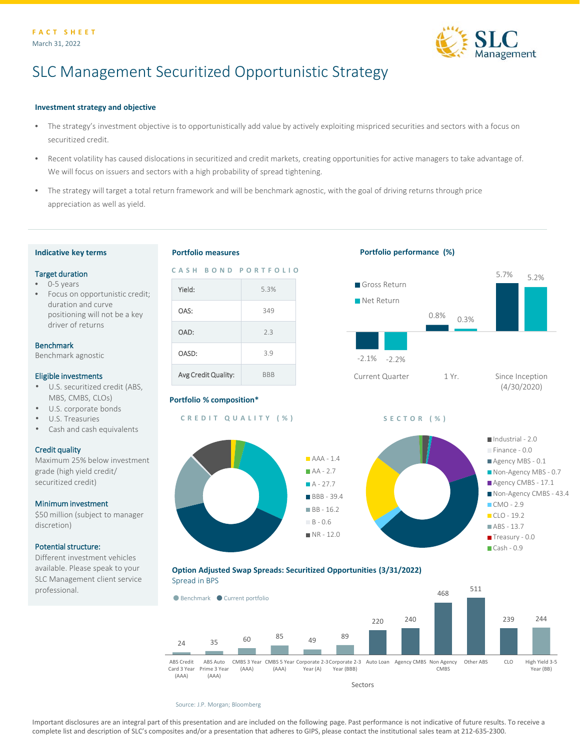

# SLC Management Securitized Opportunistic Strategy

# **Investment strategy and objective**

- The strategy's investment objective is to opportunistically add value by actively exploiting mispriced securities and sectors with a focus on securitized credit.
- Recent volatility has caused dislocations in securitized and credit markets, creating opportunities for active managers to take advantage of. We will focus on issuers and sectors with a high probability of spread tightening.
- The strategy will target a total return framework and will be benchmark agnostic, with the goal of driving returns through price appreciation as well as yield.

#### **Indicative key terms**

#### Target duration

- 0-5 years
- Focus on opportunistic credit; duration and curve positioning will not be a key driver of returns

#### Benchmark

Benchmark agnostic

#### Eligible investments

- U.S. securitized credit (ABS, MBS, CMBS, CLOs)
- U.S. corporate bonds
- U.S. Treasuries
- Cash and cash equivalents

#### Credit quality

Maximum 25% below investment grade (high yield credit/ securitized credit)

#### Minimum investment

\$50 million (subject to manager discretion)

### Potential structure:

Different investment vehicles available. Please speak to your SLC Management client service professional.

# **Portfolio measures**



# **Portfolio % composition\***

**CREDIT QUALITY (%) SECTOR (%)**



# **Portfolio performance (%)**









Source: J.P. Morgan; Bloomberg

Important disclosures are an integral part of this presentation and are included on the following page. Past performance is not indicative of future results. To receive a complete list and description of SLC's composites and/or a presentation that adheres to GIPS, please contact the institutional sales team at 212-635-2300.